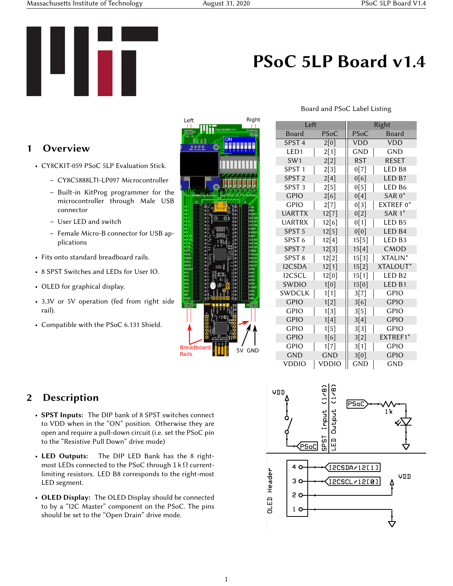Massachusetts Institute of Technology August 31, 2020 PSoC 5LP Board V1.4



## PSoC 5LP Board v1.4

Board and PSoC Label Listing

## 1 Overview

- CY8CKIT-059 PSoC 5LP Evaluation Stick.
	- CY8C5888LTI-LP097 Microcontroller
	- Built-in KitProg programmer for the microcontroller through Male USB connector
	- User LED and switch
	- Female Micro-B connector for USB applications
- Fits onto standard breadboard rails.
- 8 SPST Switches and LEDs for User IO.
- OLED for graphical display.
- 3.3V or 5V operation (fed from right side rail).
- Compatible with the PSoC 6.131 Shield.

| Left                                               |                                                                                                                 |                                    | Right                                  |  |
|----------------------------------------------------|-----------------------------------------------------------------------------------------------------------------|------------------------------------|----------------------------------------|--|
|                                                    |                                                                                                                 | PSoC BOARD V1.1                    |                                        |  |
| তাত                                                |                                                                                                                 |                                    | <u>12 r</u><br><b>GND</b><br>Ā         |  |
| $+12 - 12$<br><b>GND</b><br>ğ                      |                                                                                                                 | ON                                 |                                        |  |
|                                                    |                                                                                                                 |                                    |                                        |  |
| GND VCC SCL SDA                                    |                                                                                                                 | ź                                  | Ä                                      |  |
|                                                    |                                                                                                                 |                                    |                                        |  |
|                                                    |                                                                                                                 |                                    |                                        |  |
|                                                    |                                                                                                                 |                                    |                                        |  |
|                                                    |                                                                                                                 |                                    |                                        |  |
|                                                    |                                                                                                                 |                                    |                                        |  |
|                                                    | ı                                                                                                               |                                    |                                        |  |
| Pins I sbelled by funct                            | ó                                                                                                               | See PSoC for Pip Number            |                                        |  |
|                                                    |                                                                                                                 |                                    |                                        |  |
| J5<br>iP St<br>k                                   |                                                                                                                 | C<br>ę                             | 34<br>VDD                              |  |
| ED <sup>-</sup>                                    | 20<br>22 21 :<br>5월                                                                                             | $-\sqrt{2}$<br><b>RST GND</b><br>Á | GND                                    |  |
| $\mathsf{IM}1$<br>iP).<br>1                        | ş                                                                                                               | ā<br>ŝ                             | <b>RESET</b><br>LED <sub>B8</sub>      |  |
| $\overline{\phantom{a}}$<br>ķ,<br>iР<br>3<br>iP St | 24 23                                                                                                           |                                    | LED <sub>B7</sub><br>LED <sub>B6</sub> |  |
| jP C                                               |                                                                                                                 |                                    | SAR0*                                  |  |
| iP C<br>Ä₹<br>Þ                                    | $\frac{8}{2}$ $\frac{8}{2}$ $\frac{1}{2}$ $\frac{2}{2}$ $\frac{2}{2}$ $\frac{2}{2}$ $\frac{2}{2}$ $\frac{2}{2}$ | 02 03 04 05 05                     | <b>EXREF</b><br>SAR1*                  |  |
| R'E)<br>ÌА                                         | ۰                                                                                                               | Septembre                          | LED <sub>B5</sub>                      |  |
| iP <sub>5</sub> <sup>1</sup> 5<br><b>PST6</b>      | 521<br>æ<br>S<br>K                                                                                              | ð                                  | LED <sub>B4</sub><br>LED <sub>B3</sub> |  |
| <b>PST</b><br><b>PST8</b>                          | ä<br>œ                                                                                                          | å                                  | CMOD<br><b>XTALIN</b>                  |  |
| <b>2CSDA</b>                                       | CYNCHREI                                                                                                        | É<br>ū                             | <b>XALOU</b>                           |  |
| <b>2CSCL</b><br><b>WDIO</b>                        | 1236788                                                                                                         | pg)                                | LED <sub>B2</sub><br>LED <sub>B1</sub> |  |
| <b>WDCLK</b><br><b>SPIO</b>                        | $\frac{2}{2}$ and<br>ż                                                                                          |                                    | GPIO<br>GPIO                           |  |
| <b>PIO</b>                                         | 9                                                                                                               | 35 36 37                           | <b>GPIO</b>                            |  |
| <b>PIO</b><br><b>PIO</b>                           | ź<br>ś                                                                                                          | 32 33 34<br>R<br>×                 | <b>GPIO</b><br>GPIO                    |  |
| <b>PIO</b><br><b>SPIO</b>                          | ł                                                                                                               | ۰<br>ä                             | <b>EXREF</b><br>GPIO                   |  |
| <b>SND</b>                                         | <b>TO GNO 17</b><br><b>TARGE</b><br>155<br>$\frac{1}{2}$                                                        | <b>CREAT</b><br>å                  | GPIO                                   |  |
| <b>DDIO</b><br>$+12 - 12$                          | ľо<br>٥c                                                                                                        | ž<br>$\overline{\bullet}$<br>τ.    | <b>GND</b><br>$\mathbf{v}$ G<br>D      |  |
| <b>∏ ⊙</b>  J1                                     |                                                                                                                 |                                    | $\frac{13}{20}$                        |  |
|                                                    |                                                                                                                 |                                    |                                        |  |
|                                                    | $6 - 8 - 8$                                                                                                     |                                    |                                        |  |
|                                                    |                                                                                                                 |                                    |                                        |  |
|                                                    |                                                                                                                 | š                                  |                                        |  |
|                                                    | šĚ<br>s.                                                                                                        | Ē                                  |                                        |  |
|                                                    | g,                                                                                                              | š                                  |                                        |  |
| <b>Breadboard</b><br>GND<br>5V                     |                                                                                                                 |                                    |                                        |  |
| Rails                                              |                                                                                                                 |                                    |                                        |  |

| Left              |            | Right      |                     |  |
|-------------------|------------|------------|---------------------|--|
| <b>Board</b>      | PSoC       | PSoC       | Board               |  |
| SPST <sub>4</sub> | 2[0]       | <b>VDD</b> | VDD                 |  |
| LED <sub>1</sub>  | 2[1]       | <b>GND</b> | <b>GND</b>          |  |
| SW1               | 2[2]       | <b>RST</b> | <b>RESET</b>        |  |
| SPST <sub>1</sub> | 2[3]       | 0[7]       | LED B8              |  |
| SPST <sub>2</sub> | 2[4]       | 0[6]       | LED <sub>B7</sub>   |  |
| SPST <sub>3</sub> | 2[5]       | 0[5]       | LED B <sub>6</sub>  |  |
| <b>GPIO</b>       | 2[6]       | 0[4]       | SAR 0*              |  |
| GPIO              | 2[7]       | 0[3]       | EXTREF 0*           |  |
| <b>UARTTX</b>     | 12[7]      | 0[2]       | SAR 1*              |  |
| <b>UARTRX</b>     | 12[6]      | 0[1]       | LED <sub>B5</sub>   |  |
| SPST <sub>5</sub> | 12[5]      | 0[0]       | LED <sub>B4</sub>   |  |
| SPST <sub>6</sub> | 12[4]      | 15[5]      | LED <sub>B3</sub>   |  |
| SPST <sub>7</sub> | 12[3]      | 15[4]      | CMOD                |  |
| SPST <sub>8</sub> | 12[2]      | 15[3]      | XTALIN <sup>*</sup> |  |
| <b>I2CSDA</b>     | 12[1]      | 15[2]      | XTALOUT*            |  |
| <b>I2CSCL</b>     | 12[0]      | 15[1]      | LED <sub>B2</sub>   |  |
| <b>SWDIO</b>      | 1[0]       | 15[0]      | LED <sub>B1</sub>   |  |
| <b>SWDCLK</b>     | 1[1]       | 3[7]       | <b>GPIO</b>         |  |
| <b>GPIO</b>       | 1[2]       | 3[6]       | <b>GPIO</b>         |  |
| <b>GPIO</b>       | 1[3]       | 3[5]       | <b>GPIO</b>         |  |
| <b>GPIO</b>       | 1[4]       | 3[4]       | <b>GPIO</b>         |  |
| <b>GPIO</b>       | 1[5]       | 3[3]       | <b>GPIO</b>         |  |
| <b>GPIO</b>       | 1[6]       | 3[2]       | EXTREF1*            |  |
| <b>GPIO</b>       | 1[7]       | 3[1]       | <b>GPIO</b>         |  |
| <b>GND</b>        | <b>GND</b> | 3[0]       | <b>GPIO</b>         |  |
| VDDIO             | VDDIO      | <b>GND</b> | <b>GND</b>          |  |

## 2 Description

- SPST Inputs: The DIP bank of 8 SPST switches connect to VDD when in the "ON" position. Otherwise they are open and require a pull-down circuit (i.e. set the PSoC pin to the "Resistive Pull Down" drive mode)
- LED Outputs: The DIP LED Bank has the 8 rightmost LEDs connected to the PSoC through 1 k  $\Omega$  currentlimiting resistors. LED B8 corresponds to the right-most LED segment.
- OLED Display: The OLED Display should be connected to by a "I2C Master" component on the PSoC. The pins should be set to the "Open Drain" drive mode.

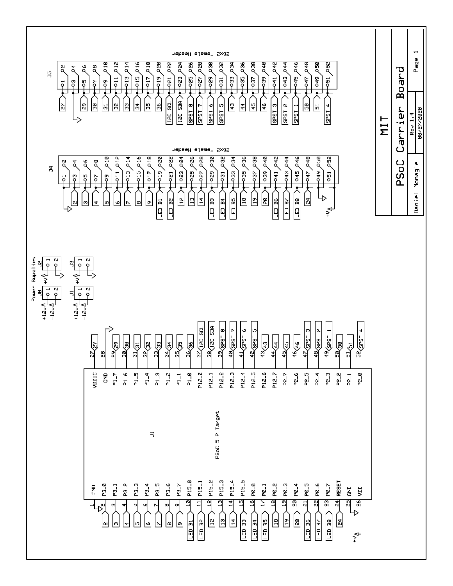